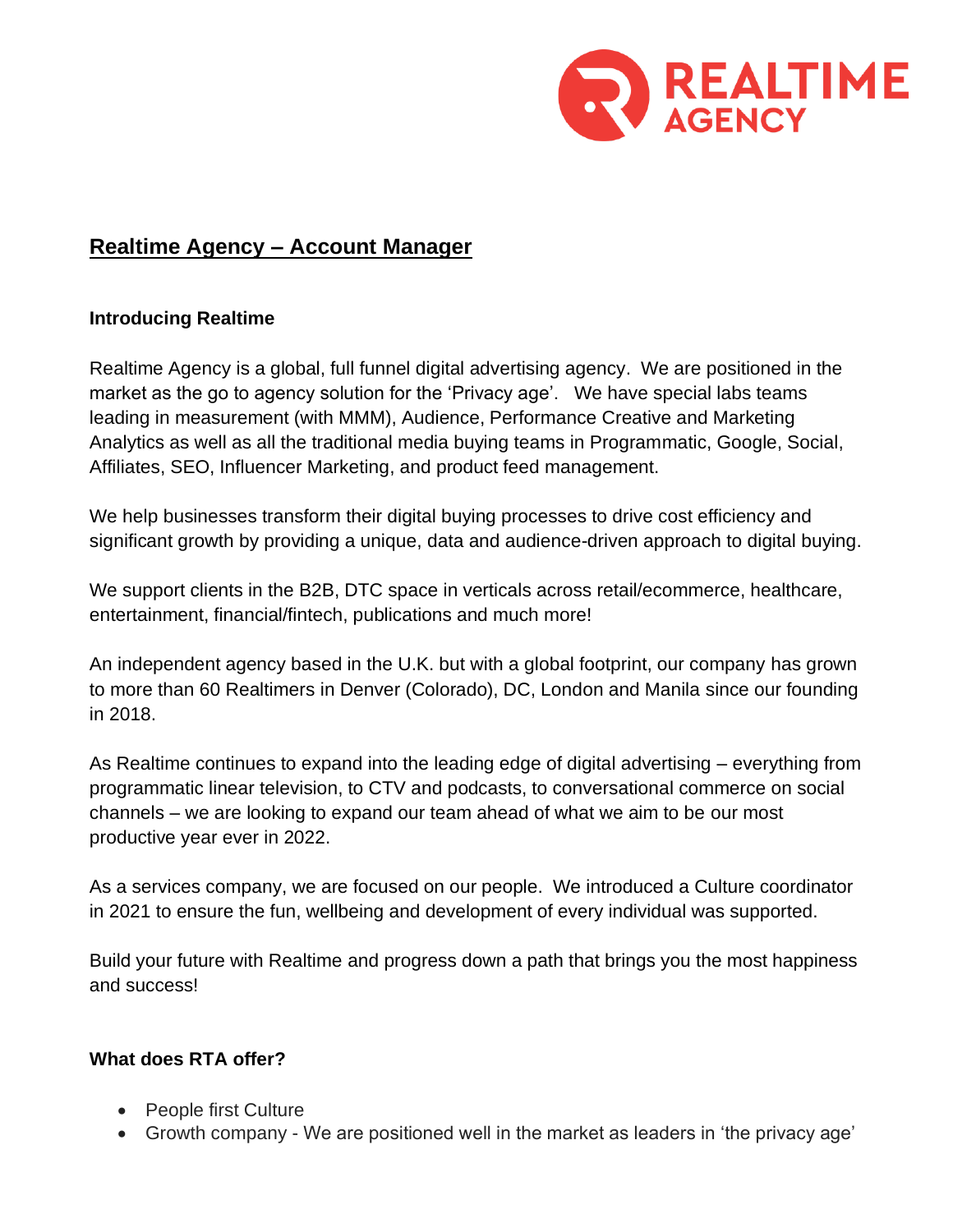

# **Realtime Agency – Account Manager**

### **Introducing Realtime**

Realtime Agency is a global, full funnel digital advertising agency. We are positioned in the market as the go to agency solution for the 'Privacy age'. We have special labs teams leading in measurement (with MMM), Audience, Performance Creative and Marketing Analytics as well as all the traditional media buying teams in Programmatic, Google, Social, Affiliates, SEO, Influencer Marketing, and product feed management.

We help businesses transform their digital buying processes to drive cost efficiency and significant growth by providing a unique, data and audience-driven approach to digital buying.

We support clients in the B2B, DTC space in verticals across retail/ecommerce, healthcare, entertainment, financial/fintech, publications and much more!

An independent agency based in the U.K. but with a global footprint, our company has grown to more than 60 Realtimers in Denver (Colorado), DC, London and Manila since our founding in 2018.

As Realtime continues to expand into the leading edge of digital advertising – everything from programmatic linear television, to CTV and podcasts, to conversational commerce on social channels – we are looking to expand our team ahead of what we aim to be our most productive year ever in 2022.

As a services company, we are focused on our people. We introduced a Culture coordinator in 2021 to ensure the fun, wellbeing and development of every individual was supported.

Build your future with Realtime and progress down a path that brings you the most happiness and success!

# **What does RTA offer?**

- People first Culture
- Growth company We are positioned well in the market as leaders in 'the privacy age'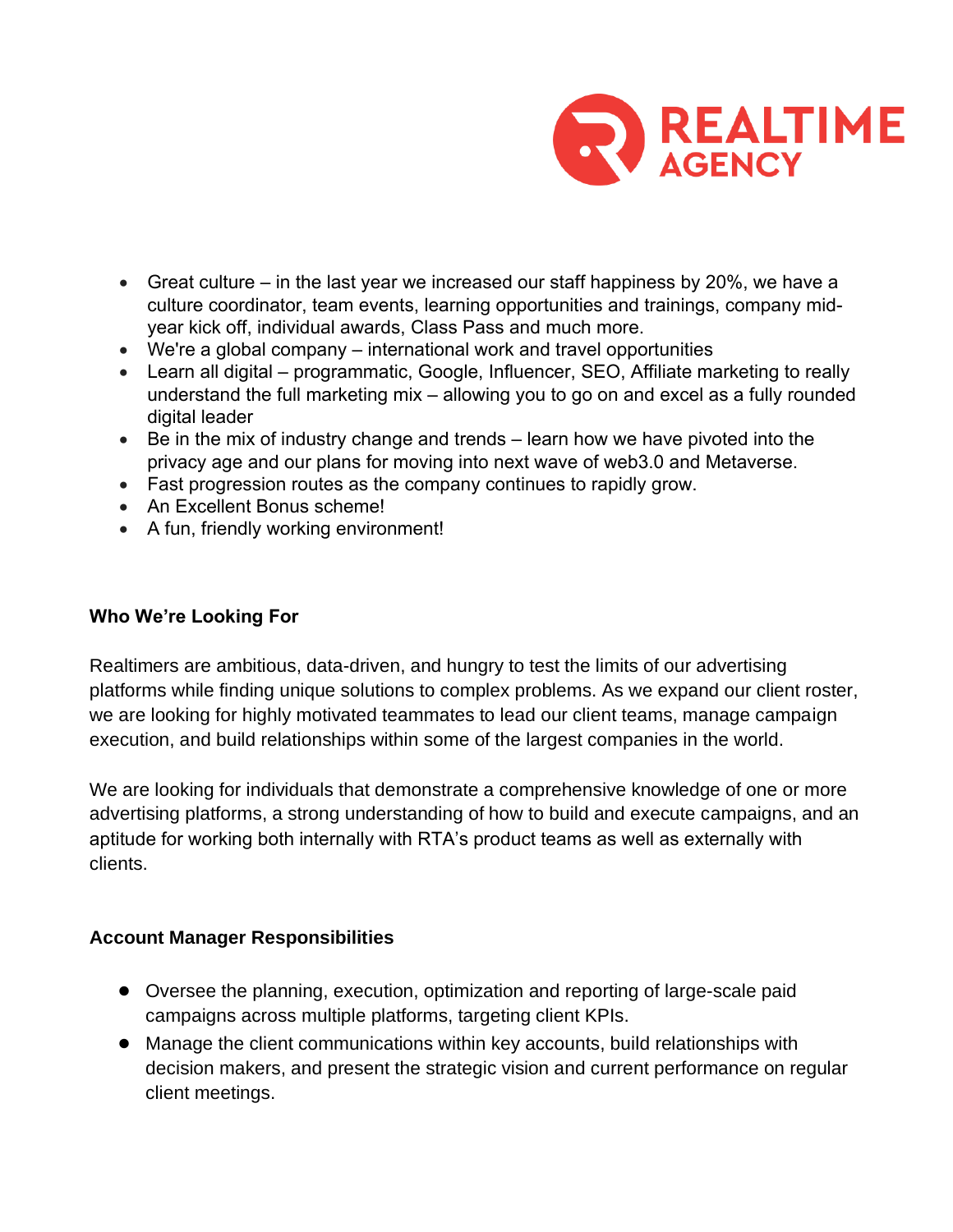

- Great culture in the last year we increased our staff happiness by 20%, we have a culture coordinator, team events, learning opportunities and trainings, company midyear kick off, individual awards, Class Pass and much more.
- We're a global company international work and travel opportunities
- Learn all digital programmatic, Google, Influencer, SEO, Affiliate marketing to really understand the full marketing mix – allowing you to go on and excel as a fully rounded digital leader
- Be in the mix of industry change and trends learn how we have pivoted into the privacy age and our plans for moving into next wave of web3.0 and Metaverse.
- Fast progression routes as the company continues to rapidly grow.
- An Excellent Bonus scheme!
- A fun, friendly working environment!

### **Who We're Looking For**

Realtimers are ambitious, data-driven, and hungry to test the limits of our advertising platforms while finding unique solutions to complex problems. As we expand our client roster, we are looking for highly motivated teammates to lead our client teams, manage campaign execution, and build relationships within some of the largest companies in the world.

We are looking for individuals that demonstrate a comprehensive knowledge of one or more advertising platforms, a strong understanding of how to build and execute campaigns, and an aptitude for working both internally with RTA's product teams as well as externally with clients.

#### **Account Manager Responsibilities**

- Oversee the planning, execution, optimization and reporting of large-scale paid campaigns across multiple platforms, targeting client KPIs.
- Manage the client communications within key accounts, build relationships with decision makers, and present the strategic vision and current performance on regular client meetings.